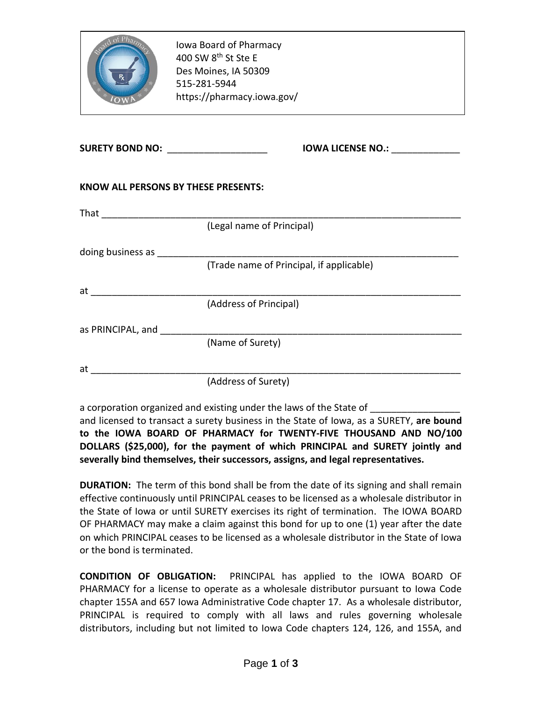| of Phar                                                                                                                                                                                                                        | Iowa Board of Pharmacy<br>400 SW 8 <sup>th</sup> St Ste E<br>Des Moines, IA 50309<br>515-281-5944<br>https://pharmacy.iowa.gov/ |
|--------------------------------------------------------------------------------------------------------------------------------------------------------------------------------------------------------------------------------|---------------------------------------------------------------------------------------------------------------------------------|
|                                                                                                                                                                                                                                | SURETY BOND NO: ____________________<br><b>IOWA LICENSE NO.:</b>                                                                |
| <b>KNOW ALL PERSONS BY THESE PRESENTS:</b>                                                                                                                                                                                     |                                                                                                                                 |
|                                                                                                                                                                                                                                |                                                                                                                                 |
|                                                                                                                                                                                                                                | (Legal name of Principal)                                                                                                       |
| doing business as _________                                                                                                                                                                                                    |                                                                                                                                 |
|                                                                                                                                                                                                                                | (Trade name of Principal, if applicable)                                                                                        |
| at the contract of the contract of the contract of the contract of the contract of the contract of the contract of the contract of the contract of the contract of the contract of the contract of the contract of the contrac |                                                                                                                                 |
|                                                                                                                                                                                                                                | (Address of Principal)                                                                                                          |
| as PRINCIPAL, and                                                                                                                                                                                                              |                                                                                                                                 |
|                                                                                                                                                                                                                                | (Name of Surety)                                                                                                                |
|                                                                                                                                                                                                                                |                                                                                                                                 |
| at                                                                                                                                                                                                                             | (Address of Surety)                                                                                                             |

a corporation organized and existing under the laws of the State of

and licensed to transact a surety business in the State of Iowa, as a SURETY, **are bound to the IOWA BOARD OF PHARMACY for TWENTY-FIVE THOUSAND AND NO/100 DOLLARS (\$25,000), for the payment of which PRINCIPAL and SURETY jointly and severally bind themselves, their successors, assigns, and legal representatives.**

**DURATION:** The term of this bond shall be from the date of its signing and shall remain effective continuously until PRINCIPAL ceases to be licensed as a wholesale distributor in the State of Iowa or until SURETY exercises its right of termination. The IOWA BOARD OF PHARMACY may make a claim against this bond for up to one (1) year after the date on which PRINCIPAL ceases to be licensed as a wholesale distributor in the State of Iowa or the bond is terminated.

**CONDITION OF OBLIGATION:** PRINCIPAL has applied to the IOWA BOARD OF PHARMACY for a license to operate as a wholesale distributor pursuant to Iowa Code chapter 155A and 657 Iowa Administrative Code chapter 17. As a wholesale distributor, PRINCIPAL is required to comply with all laws and rules governing wholesale distributors, including but not limited to Iowa Code chapters 124, 126, and 155A, and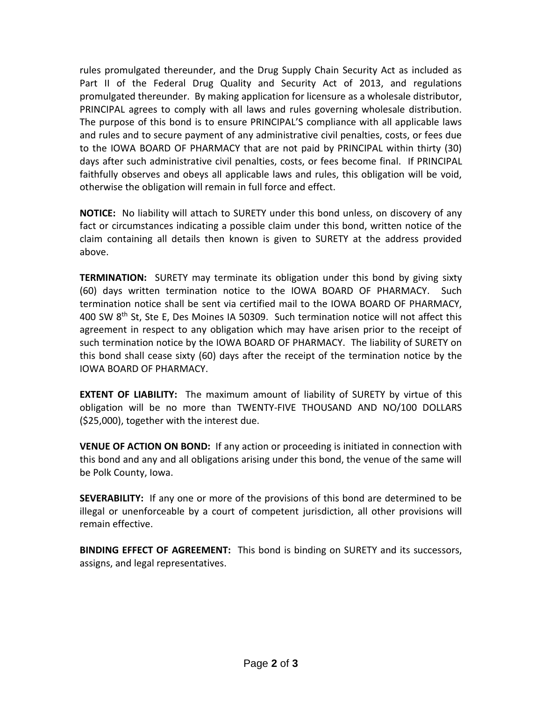rules promulgated thereunder, and the Drug Supply Chain Security Act as included as Part II of the Federal Drug Quality and Security Act of 2013, and regulations promulgated thereunder. By making application for licensure as a wholesale distributor, PRINCIPAL agrees to comply with all laws and rules governing wholesale distribution. The purpose of this bond is to ensure PRINCIPAL'S compliance with all applicable laws and rules and to secure payment of any administrative civil penalties, costs, or fees due to the IOWA BOARD OF PHARMACY that are not paid by PRINCIPAL within thirty (30) days after such administrative civil penalties, costs, or fees become final. If PRINCIPAL faithfully observes and obeys all applicable laws and rules, this obligation will be void, otherwise the obligation will remain in full force and effect.

**NOTICE:** No liability will attach to SURETY under this bond unless, on discovery of any fact or circumstances indicating a possible claim under this bond, written notice of the claim containing all details then known is given to SURETY at the address provided above.

**TERMINATION:** SURETY may terminate its obligation under this bond by giving sixty (60) days written termination notice to the IOWA BOARD OF PHARMACY. Such termination notice shall be sent via certified mail to the IOWA BOARD OF PHARMACY, 400 SW 8<sup>th</sup> St, Ste E, Des Moines IA 50309. Such termination notice will not affect this agreement in respect to any obligation which may have arisen prior to the receipt of such termination notice by the IOWA BOARD OF PHARMACY. The liability of SURETY on this bond shall cease sixty (60) days after the receipt of the termination notice by the IOWA BOARD OF PHARMACY.

**EXTENT OF LIABILITY:** The maximum amount of liability of SURETY by virtue of this obligation will be no more than TWENTY-FIVE THOUSAND AND NO/100 DOLLARS (\$25,000), together with the interest due.

**VENUE OF ACTION ON BOND:** If any action or proceeding is initiated in connection with this bond and any and all obligations arising under this bond, the venue of the same will be Polk County, Iowa.

**SEVERABILITY:** If any one or more of the provisions of this bond are determined to be illegal or unenforceable by a court of competent jurisdiction, all other provisions will remain effective.

**BINDING EFFECT OF AGREEMENT:** This bond is binding on SURETY and its successors, assigns, and legal representatives.